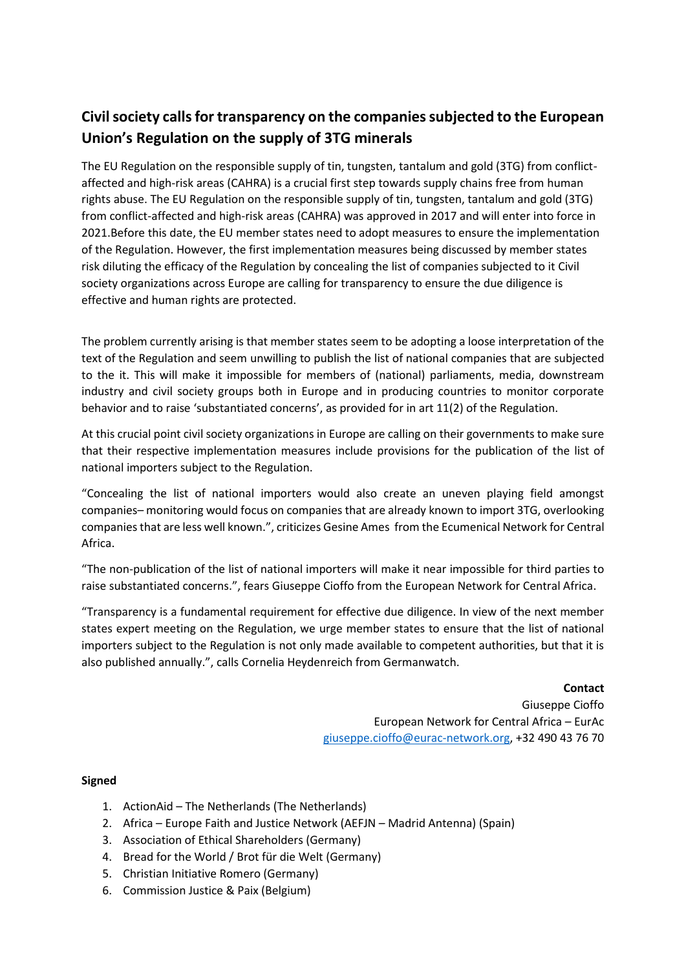## **Civil society calls for transparency on the companies subjected to the European Union's Regulation on the supply of 3TG minerals**

The EU Regulation on the responsible supply of tin, tungsten, tantalum and gold (3TG) from conflictaffected and high-risk areas (CAHRA) is a crucial first step towards supply chains free from human rights abuse. The EU Regulation on the responsible supply of tin, tungsten, tantalum and gold (3TG) from conflict-affected and high-risk areas (CAHRA) was approved in 2017 and will enter into force in 2021.Before this date, the EU member states need to adopt measures to ensure the implementation of the Regulation. However, the first implementation measures being discussed by member states risk diluting the efficacy of the Regulation by concealing the list of companies subjected to it Civil society organizations across Europe are calling for transparency to ensure the due diligence is effective and human rights are protected.

The problem currently arising is that member states seem to be adopting a loose interpretation of the text of the Regulation and seem unwilling to publish the list of national companies that are subjected to the it. This will make it impossible for members of (national) parliaments, media, downstream industry and civil society groups both in Europe and in producing countries to monitor corporate behavior and to raise 'substantiated concerns', as provided for in art 11(2) of the Regulation.

At this crucial point civil society organizations in Europe are calling on their governments to make sure that their respective implementation measures include provisions for the publication of the list of national importers subject to the Regulation.

"Concealing the list of national importers would also create an uneven playing field amongst companies– monitoring would focus on companies that are already known to import 3TG, overlooking companies that are less well known.", criticizes Gesine Ames from the Ecumenical Network for Central Africa.

"The non-publication of the list of national importers will make it near impossible for third parties to raise substantiated concerns.", fears Giuseppe Cioffo from the European Network for Central Africa.

"Transparency is a fundamental requirement for effective due diligence. In view of the next member states expert meeting on the Regulation, we urge member states to ensure that the list of national importers subject to the Regulation is not only made available to competent authorities, but that it is also published annually.", calls Cornelia Heydenreich from Germanwatch.

> **Contact** Giuseppe Cioffo European Network for Central Africa – EurAc [giuseppe.cioffo@eurac-network.org,](mailto:giuseppe.cioffo@eurac-network.org) +32 490 43 76 70

## **Signed**

- 1. ActionAid The Netherlands (The Netherlands)
- 2. Africa Europe Faith and Justice Network (AEFJN Madrid Antenna) (Spain)
- 3. Association of Ethical Shareholders (Germany)
- 4. Bread for the World / Brot für die Welt (Germany)
- 5. Christian Initiative Romero (Germany)
- 6. Commission Justice & Paix (Belgium)